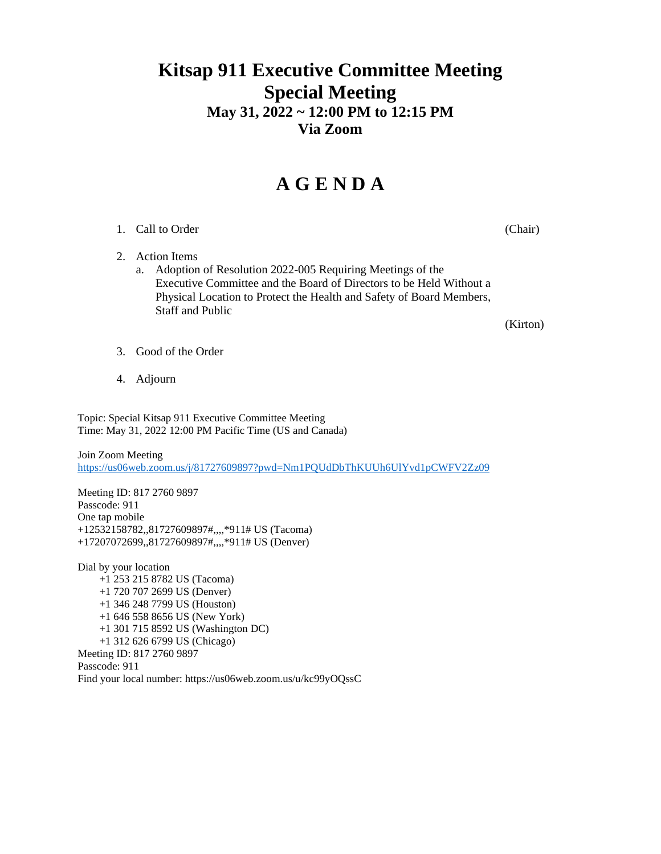### **Kitsap 911 Executive Committee Meeting Special Meeting May 31, 2022 ~ 12:00 PM to 12:15 PM Via Zoom**

## **A G E N D A**

#### 1. Call to Order (Chair) (Chair)

2. Action Items

a. Adoption of Resolution 2022-005 Requiring Meetings of the Executive Committee and the Board of Directors to be Held Without a Physical Location to Protect the Health and Safety of Board Members, Staff and Public

(Kirton)

- 3. Good of the Order
- 4. Adjourn

Topic: Special Kitsap 911 Executive Committee Meeting Time: May 31, 2022 12:00 PM Pacific Time (US and Canada)

Join Zoom Meeting <https://us06web.zoom.us/j/81727609897?pwd=Nm1PQUdDbThKUUh6UlYvd1pCWFV2Zz09>

Meeting ID: 817 2760 9897 Passcode: 911 One tap mobile +12532158782,,81727609897#,,,,\*911# US (Tacoma) +17207072699,,81727609897#,,,,\*911# US (Denver)

Dial by your location +1 253 215 8782 US (Tacoma) +1 720 707 2699 US (Denver) +1 346 248 7799 US (Houston) +1 646 558 8656 US (New York) +1 301 715 8592 US (Washington DC) +1 312 626 6799 US (Chicago) Meeting ID: 817 2760 9897 Passcode: 911 Find your local number: https://us06web.zoom.us/u/kc99yOQssC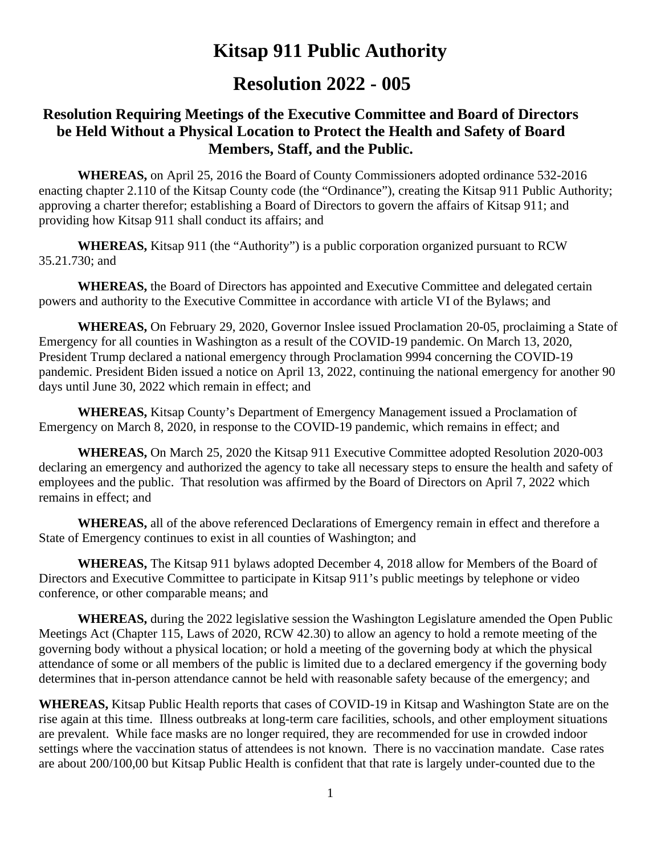# **Kitsap 911 Public Authority**

### **Resolution 2022 - 005**

### **Resolution Requiring Meetings of the Executive Committee and Board of Directors be Held Without a Physical Location to Protect the Health and Safety of Board Members, Staff, and the Public.**

**WHEREAS,** on April 25, 2016 the Board of County Commissioners adopted ordinance 532-2016 enacting chapter 2.110 of the Kitsap County code (the "Ordinance"), creating the Kitsap 911 Public Authority; approving a charter therefor; establishing a Board of Directors to govern the affairs of Kitsap 911; and providing how Kitsap 911 shall conduct its affairs; and

**WHEREAS,** Kitsap 911 (the "Authority") is a public corporation organized pursuant to RCW 35.21.730; and

**WHEREAS,** the Board of Directors has appointed and Executive Committee and delegated certain powers and authority to the Executive Committee in accordance with article VI of the Bylaws; and

**WHEREAS,** On February 29, 2020, Governor Inslee issued Proclamation 20-05, proclaiming a State of Emergency for all counties in Washington as a result of the COVID-19 pandemic. On March 13, 2020, President Trump declared a national emergency through Proclamation 9994 concerning the COVID-19 pandemic. President Biden issued a notice on April 13, 2022, continuing the national emergency for another 90 days until June 30, 2022 which remain in effect; and

**WHEREAS,** Kitsap County's Department of Emergency Management issued a Proclamation of Emergency on March 8, 2020, in response to the COVID-19 pandemic, which remains in effect; and

**WHEREAS,** On March 25, 2020 the Kitsap 911 Executive Committee adopted Resolution 2020-003 declaring an emergency and authorized the agency to take all necessary steps to ensure the health and safety of employees and the public. That resolution was affirmed by the Board of Directors on April 7, 2022 which remains in effect; and

**WHEREAS,** all of the above referenced Declarations of Emergency remain in effect and therefore a State of Emergency continues to exist in all counties of Washington; and

**WHEREAS,** The Kitsap 911 bylaws adopted December 4, 2018 allow for Members of the Board of Directors and Executive Committee to participate in Kitsap 911's public meetings by telephone or video conference, or other comparable means; and

**WHEREAS,** during the 2022 legislative session the Washington Legislature amended the Open Public Meetings Act (Chapter 115, Laws of 2020, RCW 42.30) to allow an agency to hold a remote meeting of the governing body without a physical location; or hold a meeting of the governing body at which the physical attendance of some or all members of the public is limited due to a declared emergency if the governing body determines that in-person attendance cannot be held with reasonable safety because of the emergency; and

**WHEREAS,** Kitsap Public Health reports that cases of COVID-19 in Kitsap and Washington State are on the rise again at this time. Illness outbreaks at long-term care facilities, schools, and other employment situations are prevalent. While face masks are no longer required, they are recommended for use in crowded indoor settings where the vaccination status of attendees is not known. There is no vaccination mandate. Case rates are about 200/100,00 but Kitsap Public Health is confident that that rate is largely under-counted due to the